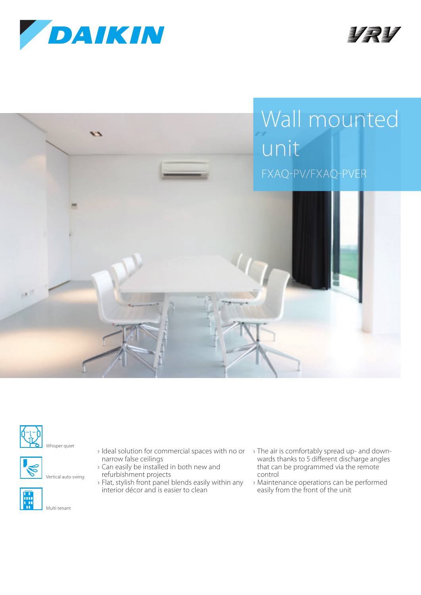









Vertical auto swing

Multi tenant



- › Ideal solution for commercial spaces with no or › The air is comfortably spread up- and downnarrow false ceilings
- › Can easily be installed in both new and refurbishment projects
- › Flat, stylish front panel blends easily within any interior décor and is easier to clean
- wards thanks to 5 different discharge angles that can be programmed via the remote control
- › Maintenance operations can be performed easily from the front of the unit